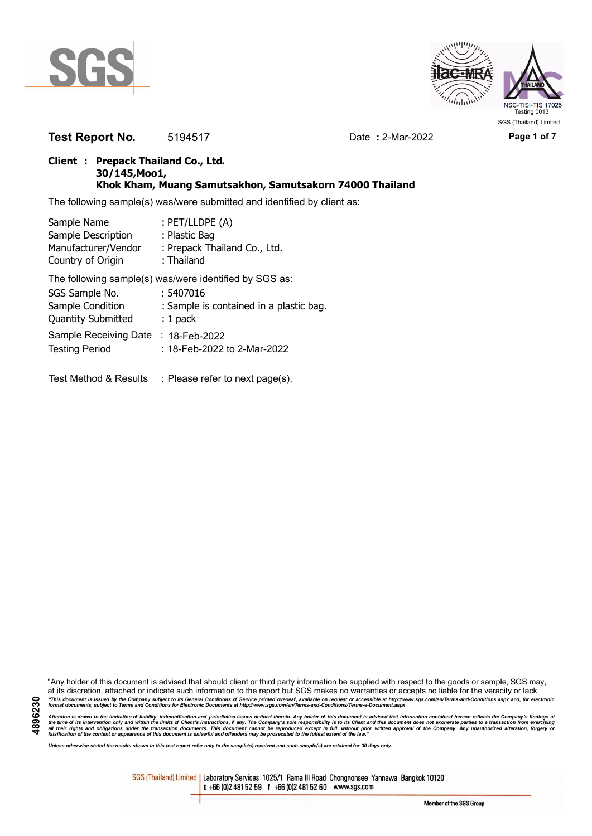



**Test Report No.** 5194517 Date **:** 2-Mar-2022 **Page 1 of 7**

### **Client : Prepack Thailand Co., Ltd. 30/145,Moo1, Khok Kham, Muang Samutsakhon, Samutsakorn 74000 Thailand**

The following sample(s) was/were submitted and identified by client as:

| Sample Name               | : PET/LLDPE (A)                                        |
|---------------------------|--------------------------------------------------------|
| Sample Description        | : Plastic Bag                                          |
| Manufacturer/Vendor       | : Prepack Thailand Co., Ltd.                           |
| Country of Origin         | : Thailand                                             |
|                           | The following sample(s) was/were identified by SGS as: |
| SGS Sample No.            | : 5407016                                              |
| Sample Condition          | : Sample is contained in a plastic bag.                |
| <b>Quantity Submitted</b> | $: 1$ pack                                             |
| Sample Receiving Date     | : 18-Feb-2022                                          |
| <b>Testing Period</b>     | : 18-Feb-2022 to 2-Mar-2022                            |
|                           |                                                        |

Test Method & Results : Please refer to next page(s).

"Any holder of this document is advised that should client or third party information be supplied with respect to the goods or sample, SGS may, at its discretion, attached or indicate such information to the report but SGS makes no warranties or accepts no liable for the veracity or lack "This document is issued by the Company subject to its General Conditions of Service printed overleaf, available on request or accessible at http://www.sgs.com/en/Terms-and-Conditions.aspx and, for electronic<br>format docume

Attention is drawn to the limitation of liability, indemnification and jurisdiction issues defined therein. Any holder of this document is advised that information contained hereon reflects the Company's findings at<br>all th

*Unless otherwise stated the results shown in this test report refer only to the sample(s) received and such sample(s) are retained for 30 days only.*

SGS (Thailand) Limited | Laboratory Services 1025/1 Rama III Road Chongnonsee Yannawa Bangkok 10120 t +66 (0)2 481 52 59 f +66 (0)2 481 52 60 www.sgs.com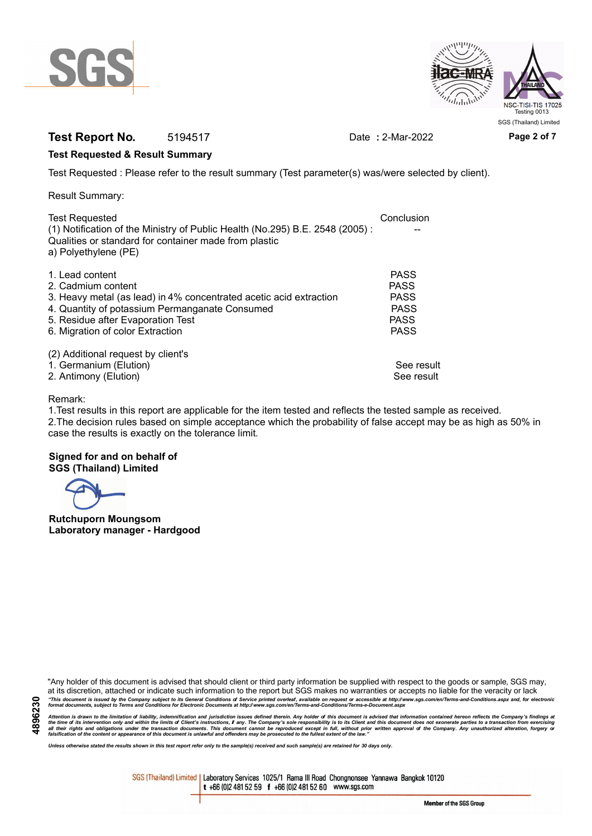



# **Test Report No.** 5194517 Date **:** 2-Mar-2022 **Page 2 of 7**

### **Test Requested & Result Summary**

Test Requested : Please refer to the result summary (Test parameter(s) was/were selected by client).

Result Summary:

| Conclusion  |
|-------------|
|             |
|             |
|             |
| <b>PASS</b> |
| <b>PASS</b> |
| <b>PASS</b> |
| <b>PASS</b> |
| <b>PASS</b> |
| <b>PASS</b> |
|             |
|             |
| See result  |
| See result  |
|             |

### Remark:

1.Test results in this report are applicable for the item tested and reflects the tested sample as received. 2.The decision rules based on simple acceptance which the probability of false accept may be as high as 50% in case the results is exactly on the tolerance limit.

### **Signed for and on behalf of SGS (Thailand) Limited**

**Rutchuporn Moungsom Laboratory manager - Hardgood**

"Any holder of this document is advised that should client or third party information be supplied with respect to the goods or sample, SGS may, at its discretion, attached or indicate such information to the report but SGS makes no warranties or accepts no liable for the veracity or lack "This document is issued by the Company subject to its General Conditions of Service printed overleaf, available on request or accessible at http://www.sgs.com/en/Terms-and-Conditions.aspx and, for electronic<br>format docume

Attention is drawn to the limitation of liability, indemnification and jurisdiction issues defined therein. Any holder of this document is advised that information contained hereon reflects the Company's findings at<br>all th

*Unless otherwise stated the results shown in this test report refer only to the sample(s) received and such sample(s) are retained for 30 days only.*

SGS (Thailand) Limited | Laboratory Services 1025/1 Rama III Road Chongnonsee Yannawa Bangkok 10120 t +66 (0)2 481 52 59 f +66 (0)2 481 52 60 www.sgs.com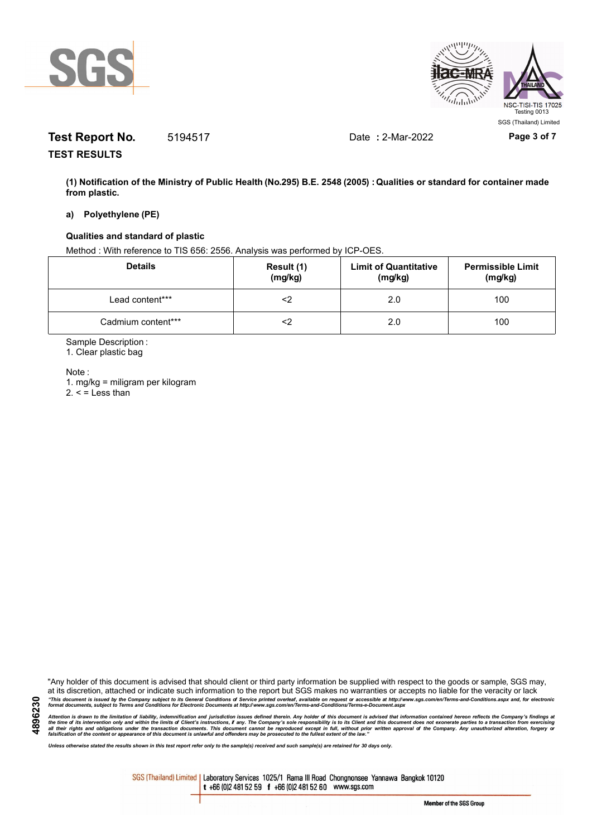



# **Test Report No.** 5194517 Date **:** 2-Mar-2022 **Page 3 of 7**

**TEST RESULTS**

**(1) Notification of the Ministry of Public Health (No.295) B.E. 2548 (2005) : Qualities or standard for container made from plastic.**

#### **a) Polyethylene (PE)**

### **Qualities and standard of plastic**

Method : With reference to TIS 656: 2556. Analysis was performed by ICP-OES.

| <b>Details</b>     | Result (1)<br>(mg/kg) | <b>Limit of Quantitative</b><br>(mg/kg) | <b>Permissible Limit</b><br>(mg/kg) |
|--------------------|-----------------------|-----------------------------------------|-------------------------------------|
| Lead content***    |                       | 2.0                                     | 100                                 |
| Cadmium content*** |                       | 2.0                                     | 100                                 |

Sample Description :

1. Clear plastic bag

Note :

**4896230**

1. mg/kg = miligram per kilogram  $2. <$  = Less than

"Any holder of this document is advised that should client or third party information be supplied with respect to the goods or sample, SGS may, at its discretion, attached or indicate such information to the report but SGS makes no warranties or accepts no liable for the veracity or lack "This document is issued by the Company subject to its General Conditions of Service printed overleaf, available on request or accessible at http://www.sgs.com/en/Terms-and-Conditions.aspx and, for electronic<br>format docume

Attention is drawn to the limitation of liability, indemnification and jurisdiction issues defined therein. Any holder of this document is advised that information contained hereon reflects the Company's findings at<br>all th

*Unless otherwise stated the results shown in this test report refer only to the sample(s) received and such sample(s) are retained for 30 days only.*

SGS (Thailand) Limited | Laboratory Services 1025/1 Rama III Road Chongnonsee Yannawa Bangkok 10120 t +66 (0)2 481 52 59 f +66 (0)2 481 52 60 www.sgs.com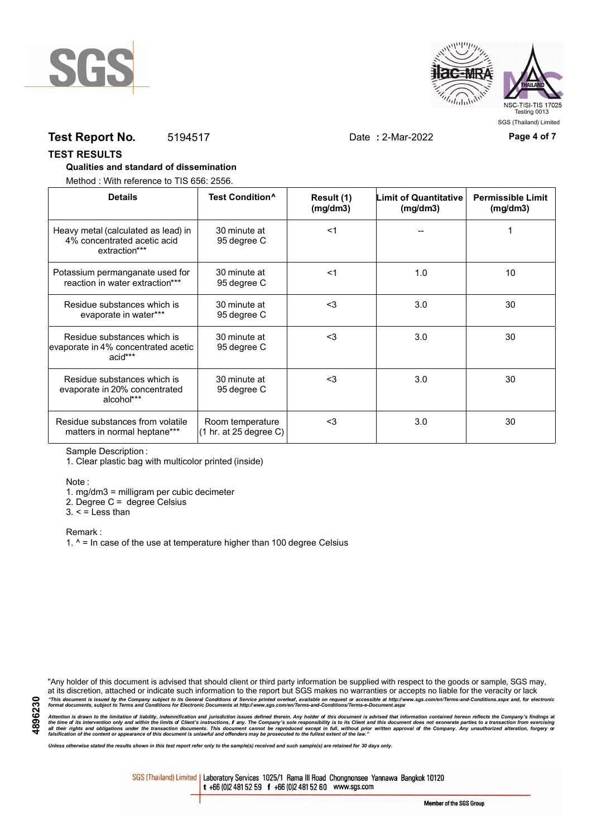



## **Test Report No.** 5194517 Date **:** 2-Mar-2022 **Page 4 of 7**

**TEST RESULTS**

#### **Qualities and standard of dissemination**

Method : With reference to TIS 656: 2556.

| <b>Details</b>                                                                      | Test Condition <sup>^</sup>                | Result (1)<br>(mq/dm3) | <b>Limit of Quantitative</b><br>(mg/dm3) | <b>Permissible Limit</b><br>(mg/dm3) |
|-------------------------------------------------------------------------------------|--------------------------------------------|------------------------|------------------------------------------|--------------------------------------|
| Heavy metal (calculated as lead) in<br>4% concentrated acetic acid<br>extraction*** | 30 minute at<br>95 degree C                | $<$ 1                  |                                          |                                      |
| Potassium permanganate used for<br>reaction in water extraction***                  | 30 minute at<br>95 degree C                | $<$ 1                  | 1.0                                      | 10                                   |
| Residue substances which is<br>evaporate in water***                                | 30 minute at<br>95 degree C                | $3$                    | 3.0                                      | 30                                   |
| Residue substances which is<br>evaporate in 4% concentrated acetic<br>acid***       | 30 minute at<br>95 degree C                | $<$ 3                  | 3.0                                      | 30                                   |
| Residue substances which is<br>evaporate in 20% concentrated<br>alcohol***          | 30 minute at<br>95 degree C                | $3$                    | 3.0                                      | 30                                   |
| Residue substances from volatile<br>matters in normal heptane***                    | Room temperature<br>(1 hr. at 25 degree C) | $<$ 3                  | 3.0                                      | 30                                   |

Sample Description :

1. Clear plastic bag with multicolor printed (inside)

Note :

1. mg/dm3 = milligram per cubic decimeter

2. Degree C = degree Celsius

 $3. <$  = Less than

Remark :

1.  $^{\circ}$  = In case of the use at temperature higher than 100 degree Celsius

"Any holder of this document is advised that should client or third party information be supplied with respect to the goods or sample, SGS may, at its discretion, attached or indicate such information to the report but SGS makes no warranties or accepts no liable for the veracity or lack "This document is issued by the Company subject to its General Conditions of Service printed overleaf, available on request or accessible at http://www.sgs.com/en/Terms-and-Conditions.aspx and, for electronic<br>format docume

Attention is drawn to the limitation of liability, indemnification and jurisdiction issues defined therein. Any holder of this document is advised that information contained hereon reflects the Company's findings at<br>all th

*Unless otherwise stated the results shown in this test report refer only to the sample(s) received and such sample(s) are retained for 30 days only.*

SGS (Thailand) Limited | Laboratory Services 1025/1 Rama III Road Chongnonsee Yannawa Bangkok 10120 t +66 (0)2 481 52 59 f +66 (0)2 481 52 60 www.sgs.com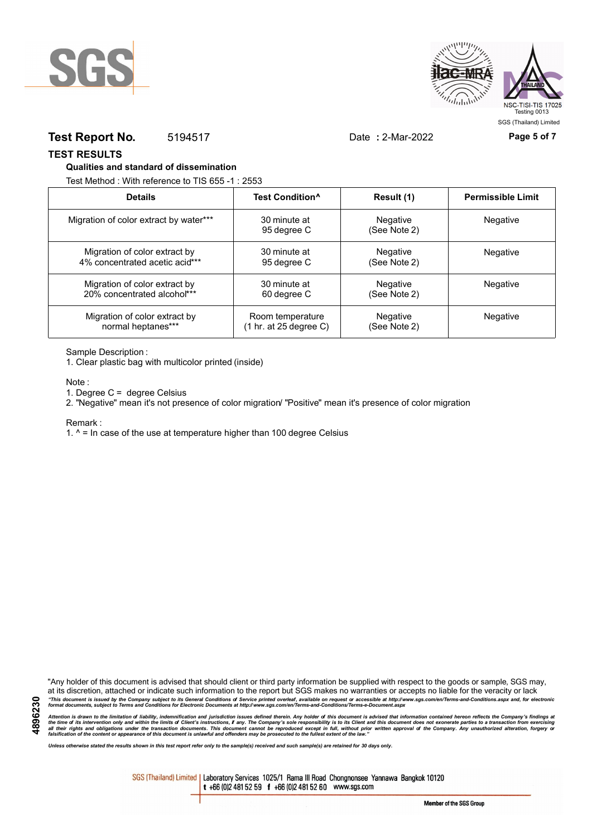



### **Test Report No.** 5194517 Date **:** 2-Mar-2022 **Page 5 of 7**

**TEST RESULTS**

#### **Qualities and standard of dissemination**

Test Method : With reference to TIS 655 -1 : 2553

| <b>Details</b>                         | Test Condition <sup>^</sup>               | Result (1)               | <b>Permissible Limit</b> |
|----------------------------------------|-------------------------------------------|--------------------------|--------------------------|
| Migration of color extract by water*** | 30 minute at<br>95 degree C               | Negative<br>(See Note 2) | <b>Negative</b>          |
| Migration of color extract by          | 30 minute at                              | Negative                 | Negative                 |
| 4% concentrated acetic acid***         | 95 degree C                               | (See Note 2)             |                          |
| Migration of color extract by          | 30 minute at                              | Negative                 | Negative                 |
| 20% concentrated alcohol***            | 60 degree C                               | (See Note 2)             |                          |
| Migration of color extract by          | Room temperature                          | <b>Negative</b>          | Negative                 |
| normal heptanes***                     | $(1 \text{ hr. at } 25 \text{ degree C})$ | (See Note 2)             |                          |

Sample Description :

1. Clear plastic bag with multicolor printed (inside)

Note :

1. Degree C = degree Celsius

2. "Negative" mean it's not presence of color migration/ "Positive" mean it's presence of color migration

Remark :

1.  $^{\circ}$  = In case of the use at temperature higher than 100 degree Celsius

"Any holder of this document is advised that should client or third party information be supplied with respect to the goods or sample, SGS may, at its discretion, attached or indicate such information to the report but SGS makes no warranties or accepts no liable for the veracity or lack "This document is issued by the Company subject to its General Conditions of Service printed overleaf, available on request or accessible at http://www.sgs.com/en/Terms-and-Conditions.aspx and, for electronic<br>format docume

Attention is drawn to the limitation of liability, indemnification and jurisdiction issues defined therein. Any holder of this document is advised that information contained hereon reflects the Company's findings at<br>all th

*Unless otherwise stated the results shown in this test report refer only to the sample(s) received and such sample(s) are retained for 30 days only.*

SGS (Thailand) Limited | Laboratory Services 1025/1 Rama III Road Chongnonsee Yannawa Bangkok 10120 t +66 (0)2 481 52 59 f +66 (0)2 481 52 60 www.sgs.com

**4896230**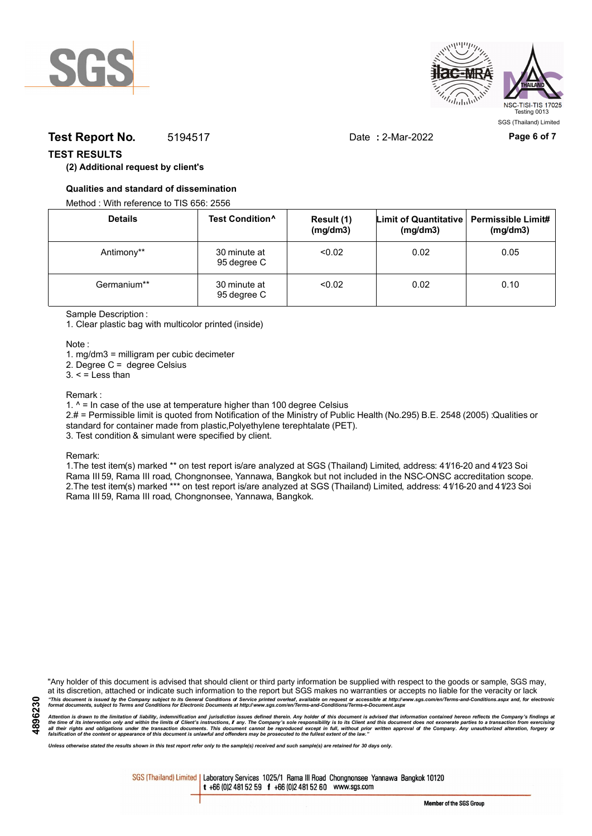



## **Test Report No.** 5194517 Date **:** 2-Mar-2022 **Page 6 of 7**

## **TEST RESULTS**

### **(2) Additional request by client's**

### **Qualities and standard of dissemination**

Method : With reference to TIS 656: 2556

| <b>Details</b> | Test Condition <sup>^</sup> | Result (1)<br>(mg/dm3) | Limit of Quantitative   Permissible Limit#<br>(mg/dm3) | (mg/dm3) |
|----------------|-----------------------------|------------------------|--------------------------------------------------------|----------|
| Antimony**     | 30 minute at<br>95 degree C | < 0.02                 | 0.02                                                   | 0.05     |
| Germanium**    | 30 minute at<br>95 degree C | < 0.02                 | 0.02                                                   | 0.10     |

Sample Description :

1. Clear plastic bag with multicolor printed (inside)

Note :

1. mg/dm3 = milligram per cubic decimeter

2. Degree C = degree Celsius

 $3. <$  = Less than

#### Remark :

1.  $^{\circ}$  = In case of the use at temperature higher than 100 degree Celsius

2.# = Permissible limit is quoted from Notification of the Ministry of Public Health (No.295) B.E. 2548 (2005) :Qualities or standard for container made from plastic,Polyethylene terephtalate (PET).

3. Test condition & simulant were specified by client.

Remark:

1.The test item(s) marked \*\* on test report is/are analyzed at SGS (Thailand) Limited, address: 41/16-20 and 41/23 Soi Rama III 59, Rama III road, Chongnonsee, Yannawa, Bangkok but not included in the NSC-ONSC accreditation scope. 2.The test item(s) marked \*\*\* on test report is/are analyzed at SGS (Thailand) Limited, address: 41/16-20 and 41/23 Soi Rama III 59, Rama III road, Chongnonsee, Yannawa, Bangkok.

"Any holder of this document is advised that should client or third party information be supplied with respect to the goods or sample, SGS may, at its discretion, attached or indicate such information to the report but SGS makes no warranties or accepts no liable for the veracity or lack "This document is issued by the Company subject to its General Conditions of Service printed overleaf, available on request or accessible at http://www.sgs.com/en/Terms-and-Conditions.aspx and, for electronic<br>format docume

Attention is drawn to the limitation of liability, indemnification and jurisdiction issues defined therein. Any holder of this document is advised that information contained hereon reflects the Company's findings at<br>all th

*Unless otherwise stated the results shown in this test report refer only to the sample(s) received and such sample(s) are retained for 30 days only.*

SGS (Thailand) Limited | Laboratory Services 1025/1 Rama III Road Chongnonsee Yannawa Bangkok 10120 t +66 (0)2 481 52 59 f +66 (0)2 481 52 60 www.sgs.com